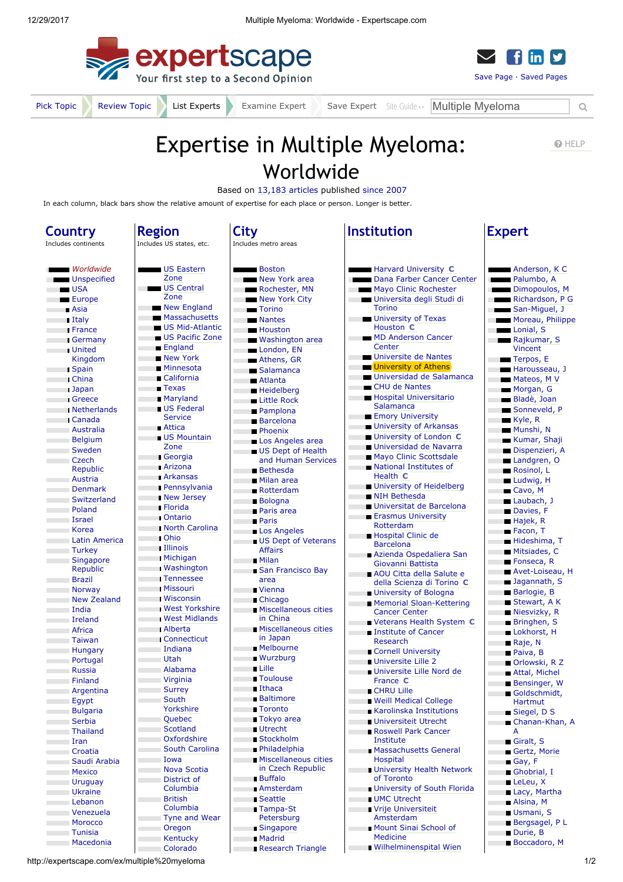



[Pick Topic](http://expertscape.com/help/tpc_popular?k=multiple+myeloma) [Review Topic](http://expertscape.com/go/multiple+myeloma) List Experts Examine Expert Save Expert [Site Guide](http://expertscape.com/help/gen_intro) Multiple Myeloma Q

## Expertise in Multiple Myeloma: Reflering Worldwide

Based on [13,183 articles](http://expertscape.com/ar/multiple+myeloma) published [since 2007](javascript:toggle1()

In each column, black bars show the relative amount of expertise for each place or person. Longer is better.

| Country              | <b>Region</b>              | City                             | <b>Institution</b>                           | <b>Expert</b>            |
|----------------------|----------------------------|----------------------------------|----------------------------------------------|--------------------------|
| Includes continents  | Includes US states, etc.   | Includes metro areas             |                                              |                          |
|                      |                            |                                  |                                              |                          |
| Worldwide            | US Eastern                 | <b>Boston</b>                    | <b>Example 3</b> Harvard University <b>C</b> | Anderson, K C            |
| Unspecified          | Zone                       | New York area<br><b>COL</b>      | Dana Farber Cancer Center                    | Palumbo, A               |
| $\blacksquare$ USA   | US Central                 | Rochester, MN                    | Mayo Clinic Rochester                        | Dimopoulos, M            |
| Europe               | Zone                       | New York City                    | Universita degli Studi di                    | Richardson, P G          |
| <b>B</b> Asia        | New England                | <b>Torino</b><br><b>College</b>  | Torino                                       | San-Miguel, J            |
| <b>I</b> Italy       | <b>Massachusetts</b>       | Mantes<br><b>COL</b>             | <b>University of Texas</b>                   | Moreau, Philippe         |
| <b>France</b>        | <b>US Mid-Atlantic</b>     | <b>Houston</b><br>m.             | Houston C                                    | Lonial, S<br>r.          |
| Germany              | <b>US Pacific Zone</b>     | Washington area                  | MD Anderson Cancer                           | Rajkumar, S              |
| <b>United</b>        | <b>England</b>             | London, EN<br>T.                 | Center                                       | Vincent                  |
| Kingdom              | <b>New York</b>            | Athens, GR                       | Universite de Nantes                         | Terpos, E                |
| <b>Spain</b>         | <b>Minnesota</b>           | Salamanca                        | <b>University of Athens</b>                  | Harousseau, J            |
| <b>China</b>         | ■ California               | <b>Atlanta</b><br>п              | Universidad de Salamanca                     | Mateos, M V              |
| <b>Japan</b>         | $\blacksquare$ Texas       | <b>Heidelberg</b><br><b>I</b>    | <b>CHU de Nantes</b>                         | Morgan, G                |
| <b>Greece</b>        | <b>Maryland</b>            | Little Rock<br>п                 | Hospital Universitario                       | Bladè, Joan              |
| <b>Netherlands</b>   | <b>US Federal</b>          | <b>Pamplona</b><br>п             | Salamanca                                    | Sonneveld, P             |
| <b>Canada</b>        | <b>Service</b>             | <b>Barcelona</b>                 | <b>Emory University</b>                      | $\blacksquare$ Kyle, R   |
| <b>Australia</b>     | <b>Attica</b>              | <b>Phoenix</b><br>п              | <b>University of Arkansas</b>                | Munshi, N                |
| Belgium              | <b>US Mountain</b>         | Los Angeles area                 | <b>University of London C</b>                | Kumar, Shaji             |
| Sweden               | Zone                       | US Dept of Health                | Universidad de Navarra                       | Dispenzieri, A           |
| Czech                | Georgia                    | and Human Services               | Mayo Clinic Scottsdale<br>П                  | Landgren, O              |
| Republic             | <b>Arizona</b>             | <b>Bethesda</b>                  | National Institutes of<br>T.                 | Rosinol, L               |
| Austria              | <b>Arkansas</b>            | <b>Milan area</b><br>п           | Health C                                     | Ludwig, H                |
| <b>Denmark</b>       | <b>Pennsylvania</b>        | Rotterdam                        | <b>University of Heidelberg</b>              | Cavo, M                  |
| Switzerland          | New Jersey                 | <b>Bologna</b><br>п              | <b>NIH Bethesda</b>                          | Laubach, J               |
| Poland               | <b>Florida</b>             | <b>Paris area</b>                | Universitat de Barcelona<br>п                | Davies, F                |
| <b>Israel</b>        | <b>Ontario</b>             | <b>Paris</b><br>T.               | <b>Erasmus University</b>                    | Hajek, R                 |
| Korea                | <b>North Carolina</b>      | Los Angeles<br>п                 | Rotterdam                                    | Facon, T                 |
| <b>Latin America</b> | <b>Ohio</b>                | <b>US Dept of Veterans</b>       | <b>Hospital Clinic de</b>                    | Hideshima, T             |
| ⊪Turkey              | <b>Illinois</b>            | <b>Affairs</b>                   | <b>Barcelona</b>                             | Mitsiades, C             |
| Singapore            | <b>Michigan</b>            | <b>Milan</b>                     | Azienda Ospedaliera San<br>Giovanni Battista | Fonseca, R<br>п          |
| Republic             | <b>Washington</b>          | San Francisco Bay                | AOU Citta della Salute e                     | Avet-Loiseau, H<br>п     |
| <b>Brazil</b>        | <b>Tennessee</b>           | area                             | della Scienza di Torino C                    | Jagannath, S<br>п        |
| Norway               | <b>Missouri</b>            | <b>■ Vienna</b><br><b>COL</b>    | <b>University of Bologna</b><br>T.           | <b>Barlogie</b> , B<br>п |
| <b>New Zealand</b>   | <b>Wisconsin</b>           | Chicago<br>r.                    | <b>Memorial Sloan-Kettering</b>              | Stewart, A K             |
| India                | <b>West Yorkshire</b>      | <b>Miscellaneous cities</b>      | <b>Cancer Center</b>                         | Niesvizky, R<br>п        |
| Ireland              | <b>West Midlands</b>       | in China                         | Veterans Health System C                     | <b>Bringhen, S</b><br>п  |
| Africa               | <b>Alberta</b>             | <b>Miscellaneous cities</b>      | Institute of Cancer                          | Lokhorst, H<br>п         |
| Taiwan               | Connecticut                | in Japan                         | Research                                     | Raje, N<br>п             |
| Hungary              | ⊪Indiana                   | <b>Melbourne</b><br><b>I</b>     | Cornell University<br>T.                     | Paiva, B                 |
| Portugal             | Utah                       | <b>Wurzburg</b><br>п             | Universite Lille 2                           | Orlowski, R Z            |
| <b>Russia</b>        | Alabama                    | <b>u</b> Lille<br><b>COL</b>     | Universite Lille Nord de                     | Attal, Michel            |
| Finland              | Virginia                   | Toulouse                         | France C                                     | <b>Bensinger, W</b>      |
| Argentina            | <b>Surrey</b>              | ■ Ithaca                         | CHRU Lille                                   | Goldschmidt,             |
| Egypt                | South                      | <b>■ Baltimore</b>               | <b>Weill Medical College</b><br>e.           | Hartmut                  |
| <b>Bulgaria</b>      | Yorkshire                  | ■ Toronto<br>T.                  | Karolinska Institutions                      | Siegel, D S              |
| Serbia               | Quebec                     | Tokyo area                       | <b>Universiteit Utrecht</b>                  | ■ Chanan-Khan, A         |
| Thailand             | Scotland                   | <b>Utrecht</b>                   | Roswell Park Cancer                          | A                        |
| Iran                 | Oxfordshire                | ■ Stockholm<br>П                 | Institute                                    | Giralt, S                |
| Croatia              | South Carolina             | <b>Philadelphia</b><br>п         | <b>Massachusetts General</b>                 | Gertz, Morie             |
| Saudi Arabia         | Iowa                       | <b>Miscellaneous cities</b><br>п | Hospital                                     | Gay, F                   |
| <b>Mexico</b>        | Nova Scotia                | in Czech Republic                | <b>University Health Network</b><br>٠        | Ghobrial, I              |
| Uruguay              | District of                | <b>Buffalo</b>                   | of Toronto                                   | LeLeu, X                 |
| <b>Ukraine</b>       | Columbia                   | <b>Amsterdam</b><br>п            | <b>University of South Florida</b><br>a.     | Lacy, Martha             |
| Lebanon              | <b>British</b><br>Columbia | <b>B</b> Seattle                 | <b>UMC Utrecht</b>                           | Alsina, M<br>п           |
| Venezuela            | Tyne and Wear              | Tampa-St<br>Petersburg           | Vrije Universiteit<br>Amsterdam              | Usmani, S                |
| Morocco              | Oregon                     | ■ Singapore                      | Mount Sinai School of                        | Bergsagel, PL            |
| Tunisia              | Kentucky                   | <b>Madrid</b>                    | <b>Medicine</b>                              | Durie, B                 |
| Macedonia            | Colorado                   | Research Triangle                | <b>Wilhelminenspital Wien</b>                | <b>Boccadoro, M</b>      |
|                      |                            |                                  |                                              |                          |

http://expertscape.com/ex/multiple%20myeloma 1/2